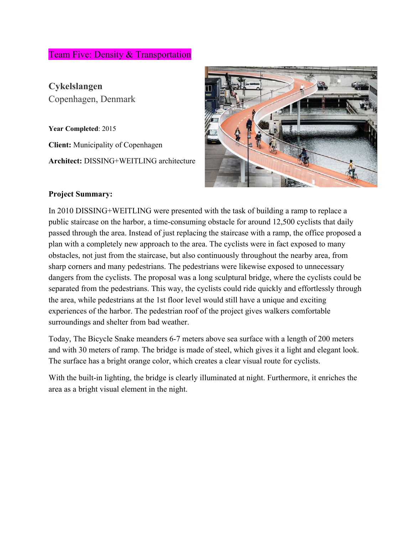# Team Five: Density & Transportation

**Cykelslangen** Copenhagen, Denmark

**Year Completed**: 2015 **Client:** Municipality of Copenhagen **Architect:** DISSING+WEITLING architecture



#### **Project Summary:**

In 2010 DISSING+WEITLING were presented with the task of building a ramp to replace a public staircase on the harbor, a time-consuming obstacle for around 12,500 cyclists that daily passed through the area. Instead of just replacing the staircase with a ramp, the office proposed a plan with a completely new approach to the area. The cyclists were in fact exposed to many obstacles, not just from the staircase, but also continuously throughout the nearby area, from sharp corners and many pedestrians. The pedestrians were likewise exposed to unnecessary dangers from the cyclists. The proposal was a long sculptural bridge, where the cyclists could be separated from the pedestrians. This way, the cyclists could ride quickly and effortlessly through the area, while pedestrians at the 1st floor level would still have a unique and exciting experiences of the harbor. The pedestrian roof of the project gives walkers comfortable surroundings and shelter from bad weather.

Today, The Bicycle Snake meanders 6-7 meters above sea surface with a length of 200 meters and with 30 meters of ramp. The bridge is made of steel, which gives it a light and elegant look. The surface has a bright orange color, which creates a clear visual route for cyclists.

With the built-in lighting, the bridge is clearly illuminated at night. Furthermore, it enriches the area as a bright visual element in the night.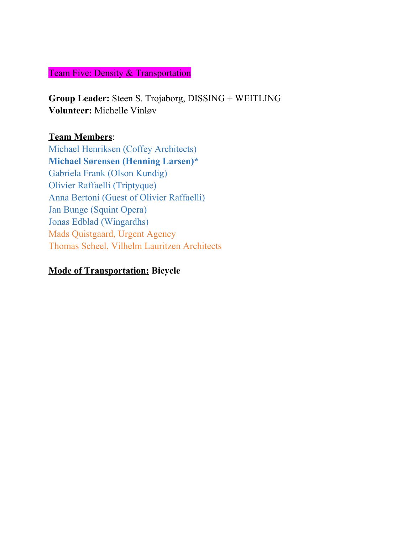## Team Five: Density & Transportation

**Group Leader:** Steen S. Trojaborg, DISSING + WEITLING **Volunteer:** Michelle Vinløv

### **Team Members**:

Michael Henriksen (Coffey Architects) **Michael Sørensen (Henning Larsen)\*** Gabriela Frank (Olson Kundig) Olivier Raffaelli (Triptyque) Anna Bertoni (Guest of Olivier Raffaelli) Jan Bunge (Squint Opera) Jonas Edblad (Wingardhs) Mads Quistgaard, Urgent Agency Thomas Scheel, Vilhelm Lauritzen Architects

### **Mode of Transportation: Bicycle**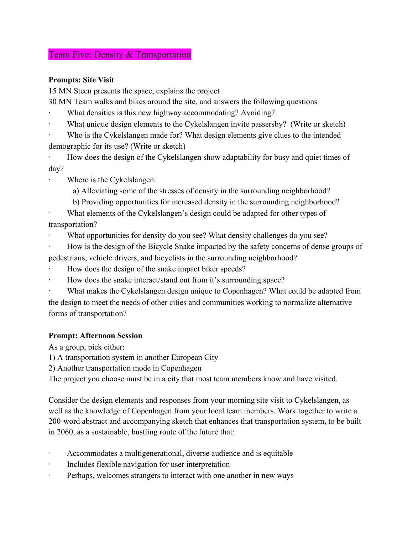#### Team Five: Density & Transportation

#### **Prompts: Site Visit**

15 MN Steen presents the space, explains the project

30 MN Team walks and bikes around the site, and answers the following questions

- What densities is this new highway accommodating? Avoiding?
- What unique design elements to the Cykelslangen invite passersby? (Write or sketch)

Who is the Cykelslangen made for? What design elements give clues to the intended demographic for its use? (Write or sketch)

How does the design of the Cykelslangen show adaptability for busy and quiet times of day?

Where is the Cykelslangen:

a) Alleviating some of the stresses of density in the surrounding neighborhood?

b) Providing opportunities for increased density in the surrounding neighborhood?

What elements of the Cykelslangen's design could be adapted for other types of transportation?

What opportunities for density do you see? What density challenges do you see?

· How is the design of the Bicycle Snake impacted by the safety concerns of dense groups of pedestrians, vehicle drivers, and bicyclists in the surrounding neighborhood?

- How does the design of the snake impact biker speeds?
- How does the snake interact/stand out from it's surrounding space?

What makes the Cykelslangen design unique to Copenhagen? What could be adapted from the design to meet the needs of other cities and communities working to normalize alternative forms of transportation?

#### **Prompt: Afternoon Session**

As a group, pick either:

1) A transportation system in another European City

2) Another transportation mode in Copenhagen

The project you choose must be in a city that most team members know and have visited.

Consider the design elements and responses from your morning site visit to Cykelslangen, as well as the knowledge of Copenhagen from your local team members. Work together to write a 200-word abstract and accompanying sketch that enhances that transportation system, to be built in 2060, as a sustainable, bustling route of the future that:

- Accommodates a multigenerational, diverse audience and is equitable
- Includes flexible navigation for user interpretation
- · Perhaps, welcomes strangers to interact with one another in new ways